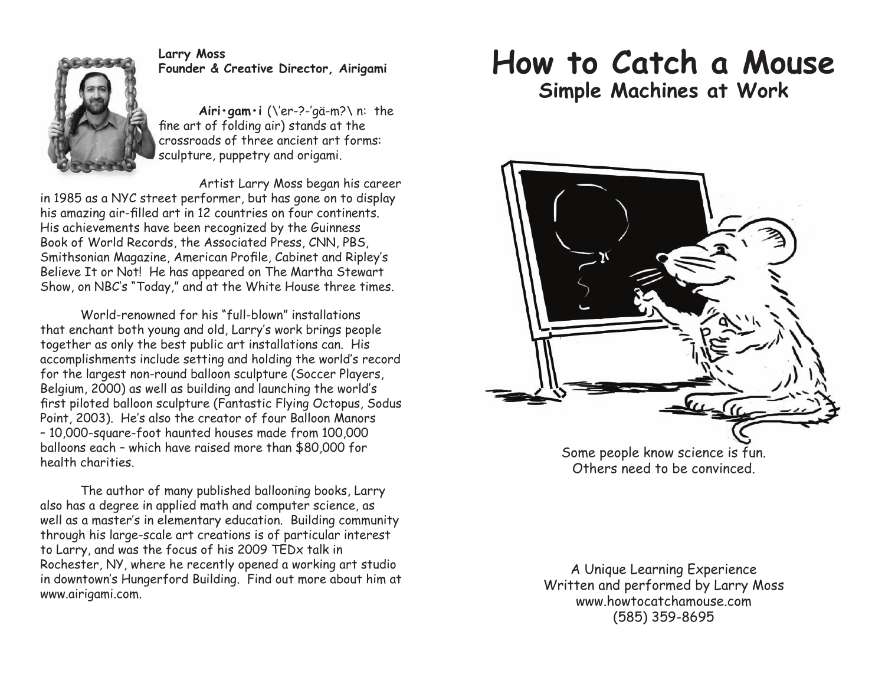

## **Larry Moss Founder & Creative Director, Airigami**

Airi·gam·i (\'er-?-'gä-m?\ n: the fine art of folding air) stands at the crossroads of three ancient art forms: sculpture, puppetry and origami.

Artist Larry Moss began his career in 1985 as a NYC street performer, but has gone on to display his amazing air-filled art in 12 countries on four continents. His achievements have been recognized by the Guinness Book of World Records, the Associated Press, CNN, PBS, Smithsonian Magazine, American Profile, Cabinet and Ripley's Believe It or Not! He has appeared on The Martha Stewart Show, on NBC's "Today," and at the White House three times.

World-renowned for his "full-blown" installations that enchant both young and old, Larry's work brings people together as only the best public art installations can. His accomplishments include setting and holding the world's record for the largest non-round balloon sculpture (Soccer Players, Belgium, 2000) as well as building and launching the world's first piloted balloon sculpture (Fantastic Flying Octopus, Sodus Point, 2003). He's also the creator of four Balloon Manors ] 10,000-square-foot haunted houses made from 100,000 balloons each - which have raised more than \$80,000 for health charities.

The author of many published ballooning books, Larry also has a degree in applied math and computer science, as well as a master's in elementary education. Building community through his large-scale art creations is of particular interest to Larry, and was the focus of his 2009 TEDx talk in Rochester, NY, where he recently opened a working art studio in downtown's Hungerford Building. Find out more about him at www.airigami.com.

## **How to Catch a Mouse Simple Machines at Work**



Others need to be convinced.

A Unique Learning Experience Written and performed by Larry Moss www.howtocatchamouse.com (585) 359-8695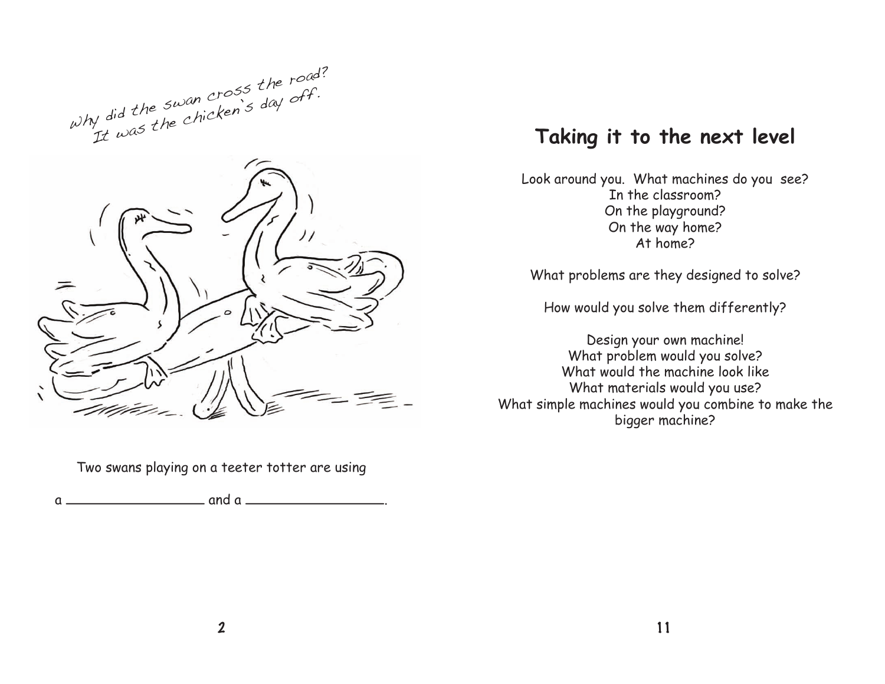



Two swans playing on a teeter totter are using

 $a \overline{\qquad \qquad}$  and  $a \overline{\qquad \qquad}$ 

## **Taking it to the next level**

Look around you. What machines do you see? In the classroom? On the playground? On the way home? At home?

What problems are they designed to solve?

How would you solve them differently?

Design your own machine! What problem would you solve? What would the machine look like What materials would you use? What simple machines would you combine to make the bigger machine?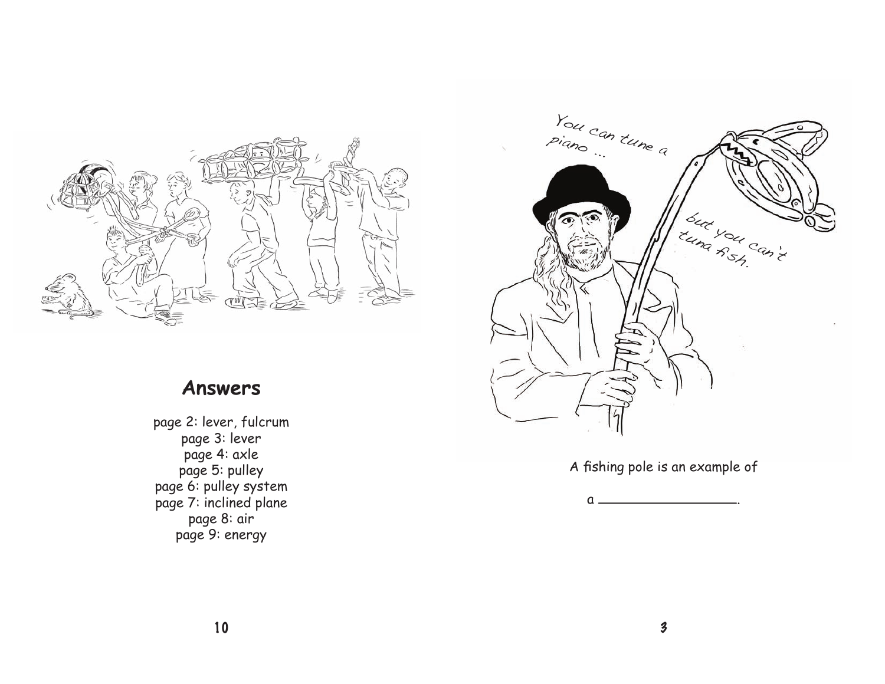

## **Answers**

page 2: lever, fulcrum page 3: lever page 4: axle page 5: pulley page 6: pulley system page 7: inclined plane page 8: air page 9: energy



A fishing pole is an example of

a .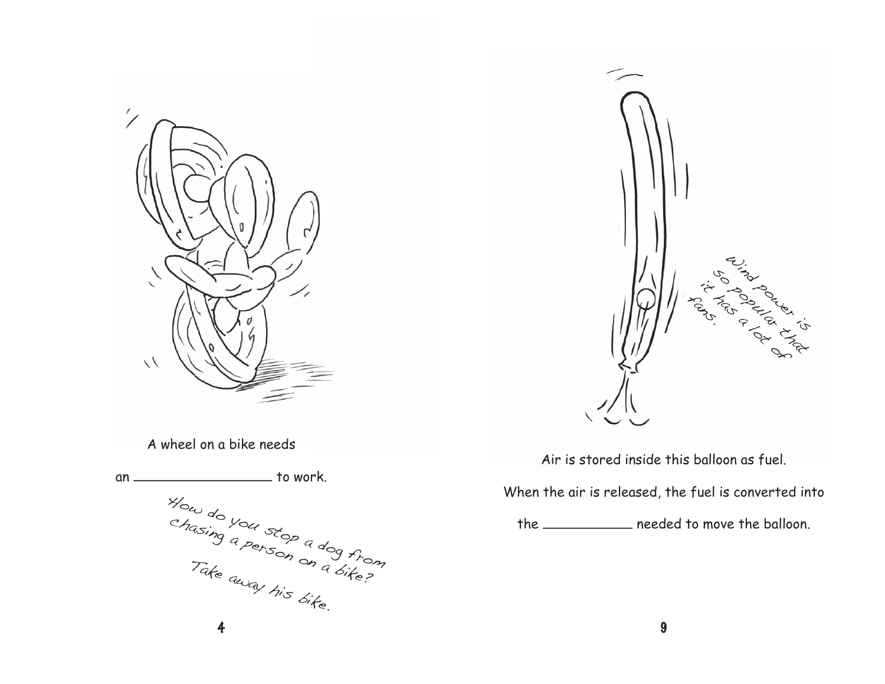



A wheel on a bike needs

4 an \_\_\_\_\_\_\_\_\_\_\_\_\_\_\_\_\_\_\_\_\_\_\_\_ to work. How do you stop a dog from<br>Chasing a person a dog from chasing a person on a dog from Take away his bike.

Air is stored inside this balloon as fuel.

When the air is released, the fuel is converted into

the <u>needed</u> to move the balloon.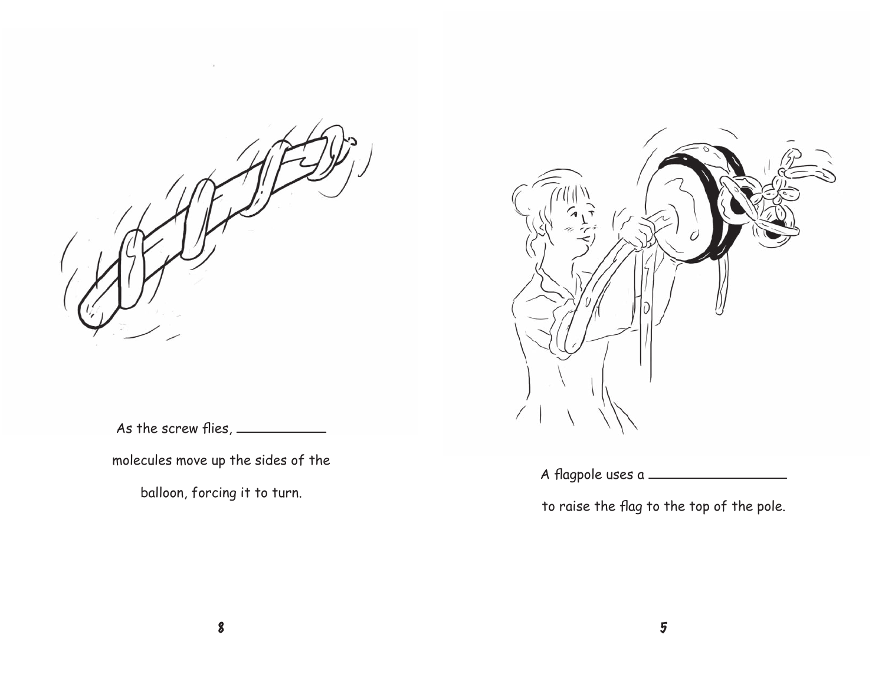

 $\gamma_{\rm k}$ 



As the screw flies,  $\frac{\phantom{1}}{1}$ 

molecules move up the sides of the

balloon, forcing it to turn.

A flagpole uses a \_

to raise the flag to the top of the pole.